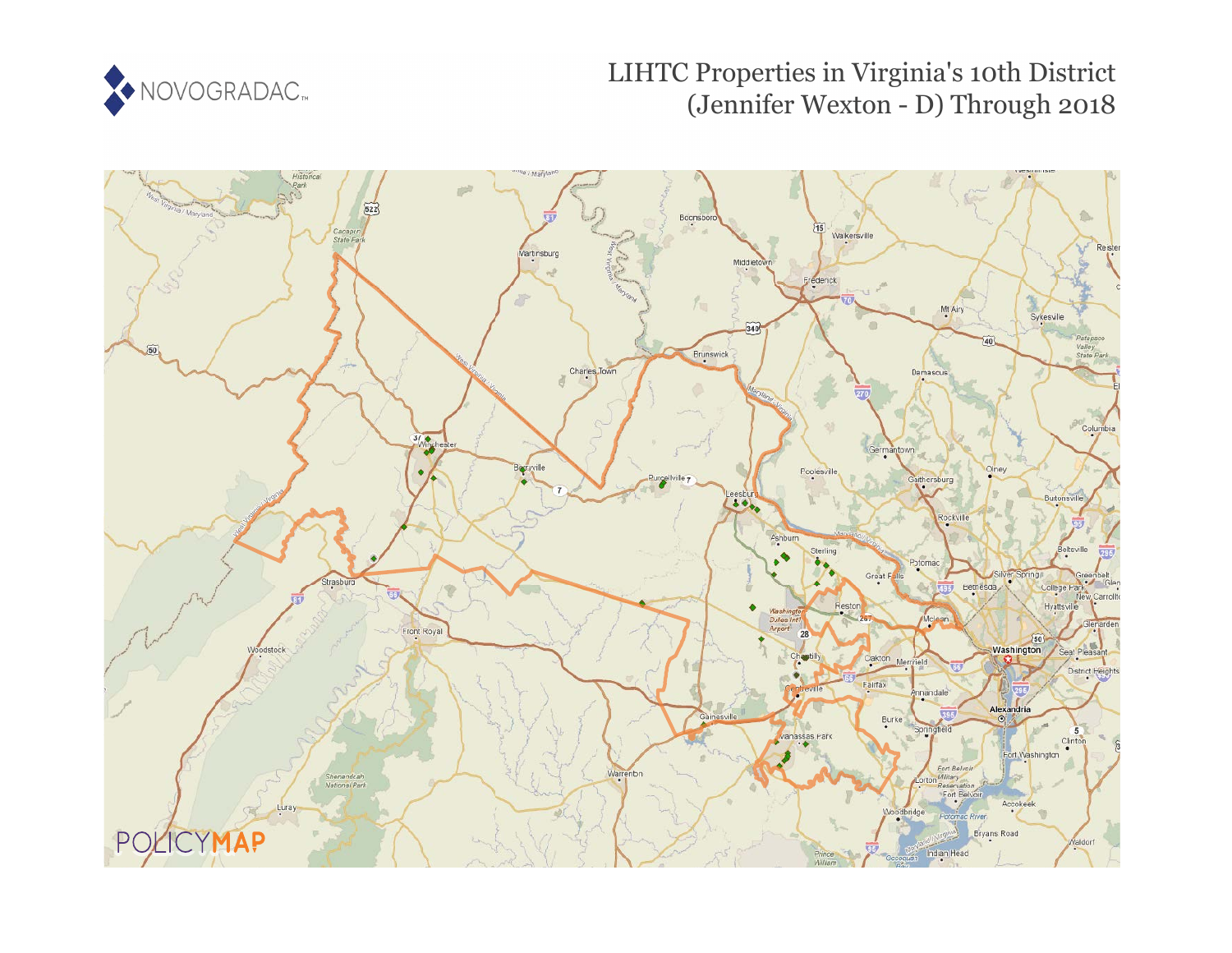

## LIHTC Properties in Virginia's 10th District (Jennifer Wexton - D) Through 2018

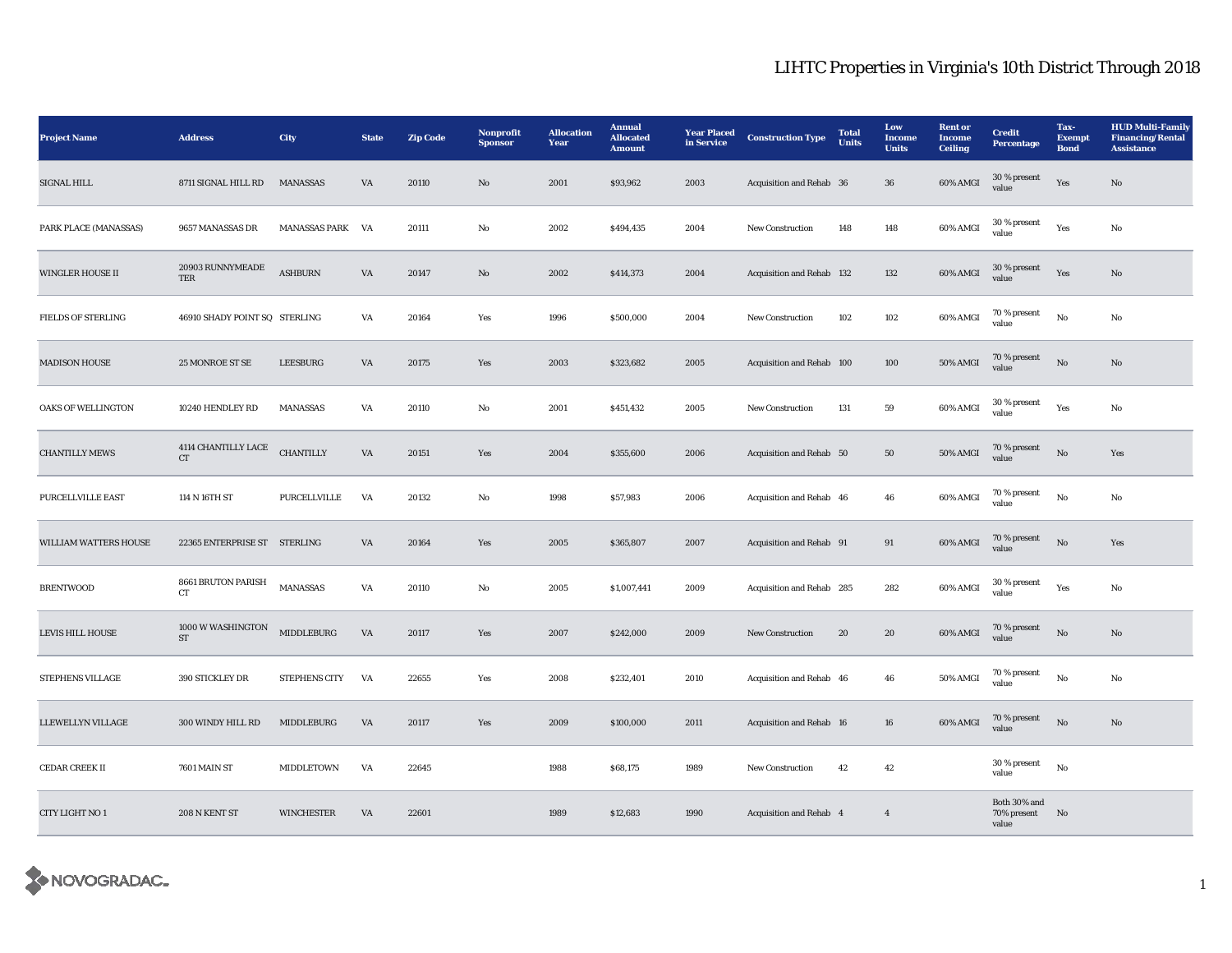## LIHTC Properties in Virginia's 10th District Through 2018

| <b>Project Name</b>      | <b>Address</b>                  | City                 | <b>State</b> | <b>Zip Code</b> | Nonprofit<br><b>Sponsor</b> | <b>Allocation</b><br>Year | <b>Annual</b><br><b>Allocated</b><br><b>Amount</b> | <b>Year Placed</b><br>in Service | <b>Construction Type</b>  | <b>Total</b><br><b>Units</b> | Low<br><b>Income</b><br><b>Units</b> | <b>Rent or</b><br>Income<br><b>Ceiling</b> | <b>Credit</b><br><b>Percentage</b>   | Tax-<br><b>Exempt</b><br><b>Bond</b> | <b>HUD Multi-Family</b><br><b>Financing/Rental</b><br><b>Assistance</b> |
|--------------------------|---------------------------------|----------------------|--------------|-----------------|-----------------------------|---------------------------|----------------------------------------------------|----------------------------------|---------------------------|------------------------------|--------------------------------------|--------------------------------------------|--------------------------------------|--------------------------------------|-------------------------------------------------------------------------|
| <b>SIGNAL HILL</b>       | 8711 SIGNAL HILL RD             | MANASSAS             | VA           | 20110           | $\mathbf{N}\mathbf{o}$      | 2001                      | \$93,962                                           | 2003                             | Acquisition and Rehab 36  |                              | 36                                   | 60% AMGI                                   | 30 % present<br>value                | Yes                                  | $\mathbf{N}\mathbf{o}$                                                  |
| PARK PLACE (MANASSAS)    | 9657 MANASSAS DR                | MANASSAS PARK VA     |              | 20111           | No                          | 2002                      | \$494,435                                          | 2004                             | New Construction          | 148                          | 148                                  | 60% AMGI                                   | 30 % present<br>value                | Yes                                  | No                                                                      |
| <b>WINGLER HOUSE II</b>  | 20903 RUNNYMEADE<br>TER         | <b>ASHBURN</b>       | VA           | 20147           | No                          | 2002                      | \$414,373                                          | 2004                             | Acquisition and Rehab 132 |                              | 132                                  | 60% AMGI                                   | 30 % present<br>value                | Yes                                  | No                                                                      |
| FIELDS OF STERLING       | 46910 SHADY POINT SQ STERLING   |                      | VA           | 20164           | Yes                         | 1996                      | \$500,000                                          | 2004                             | New Construction          | 102                          | 102                                  | 60% AMGI                                   | 70 % present<br>value                | $_{\rm No}$                          | No                                                                      |
| <b>MADISON HOUSE</b>     | 25 MONROE ST SE                 | LEESBURG             | VA           | 20175           | Yes                         | 2003                      | \$323,682                                          | 2005                             | Acquisition and Rehab 100 |                              | 100                                  | <b>50% AMGI</b>                            | 70 % present<br>value                | $\rm No$                             | No                                                                      |
| OAKS OF WELLINGTON       | 10240 HENDLEY RD                | MANASSAS             | VA           | 20110           | No                          | 2001                      | \$451,432                                          | 2005                             | New Construction          | 131                          | 59                                   | 60% AMGI                                   | 30 % present<br>value                | Yes                                  | $\rm No$                                                                |
| <b>CHANTILLY MEWS</b>    | 4114 CHANTILLY LACE<br>CT       | <b>CHANTILLY</b>     | VA           | 20151           | Yes                         | 2004                      | \$355,600                                          | 2006                             | Acquisition and Rehab 50  |                              | ${\bf 50}$                           | 50% AMGI                                   | 70 % present<br>value                | $_{\rm No}$                          | Yes                                                                     |
| PURCELLVILLE EAST        | 114 N 16TH ST                   | PURCELLVILLE         | VA           | 20132           | No                          | 1998                      | \$57,983                                           | 2006                             | Acquisition and Rehab 46  |                              | 46                                   | 60% AMGI                                   | 70 % present<br>value                | No                                   | No                                                                      |
| WILLIAM WATTERS HOUSE    | 22365 ENTERPRISE ST STERLING    |                      | VA           | 20164           | Yes                         | 2005                      | \$365,807                                          | 2007                             | Acquisition and Rehab 91  |                              | 91                                   | 60% AMGI                                   | 70 % present<br>value                | $_{\rm No}$                          | Yes                                                                     |
| <b>BRENTWOOD</b>         | 8661 BRUTON PARISH<br><b>CT</b> | MANASSAS             | VA           | 20110           | No                          | 2005                      | \$1,007,441                                        | 2009                             | Acquisition and Rehab 285 |                              | 282                                  | 60% AMGI                                   | 30 % present<br>value                | Yes                                  | No                                                                      |
| LEVIS HILL HOUSE         | 1000 W WASHINGTON<br>${\rm ST}$ | <b>MIDDLEBURG</b>    | VA           | 20117           | Yes                         | 2007                      | \$242,000                                          | 2009                             | <b>New Construction</b>   | 20                           | 20                                   | 60% AMGI                                   | 70 % present<br>value                | No                                   | No                                                                      |
| STEPHENS VILLAGE         | 390 STICKLEY DR                 | <b>STEPHENS CITY</b> | VA           | 22655           | Yes                         | 2008                      | \$232,401                                          | 2010                             | Acquisition and Rehab 46  |                              | 46                                   | 50% AMGI                                   | 70 % present<br>value                | $_{\rm No}$                          | No                                                                      |
| <b>LLEWELLYN VILLAGE</b> | 300 WINDY HILL RD               | MIDDLEBURG           | VA           | 20117           | Yes                         | 2009                      | \$100,000                                          | 2011                             | Acquisition and Rehab 16  |                              | 16                                   | 60% AMGI                                   | 70 % present<br>value                | No                                   | $\mathbf{N}\mathbf{o}$                                                  |
| CEDAR CREEK II           | <b>7601 MAIN ST</b>             | MIDDLETOWN           | VA           | 22645           |                             | 1988                      | \$68,175                                           | 1989                             | New Construction          | 42                           | 42                                   |                                            | 30 % present<br>value                | No                                   |                                                                         |
| CITY LIGHT NO 1          | 208 N KENT ST                   | <b>WINCHESTER</b>    | VA           | 22601           |                             | 1989                      | \$12,683                                           | 1990                             | Acquisition and Rehab 4   |                              | $\overline{4}$                       |                                            | Both 30% and<br>70% present<br>value | $\mathbf{N}\mathbf{o}$               |                                                                         |

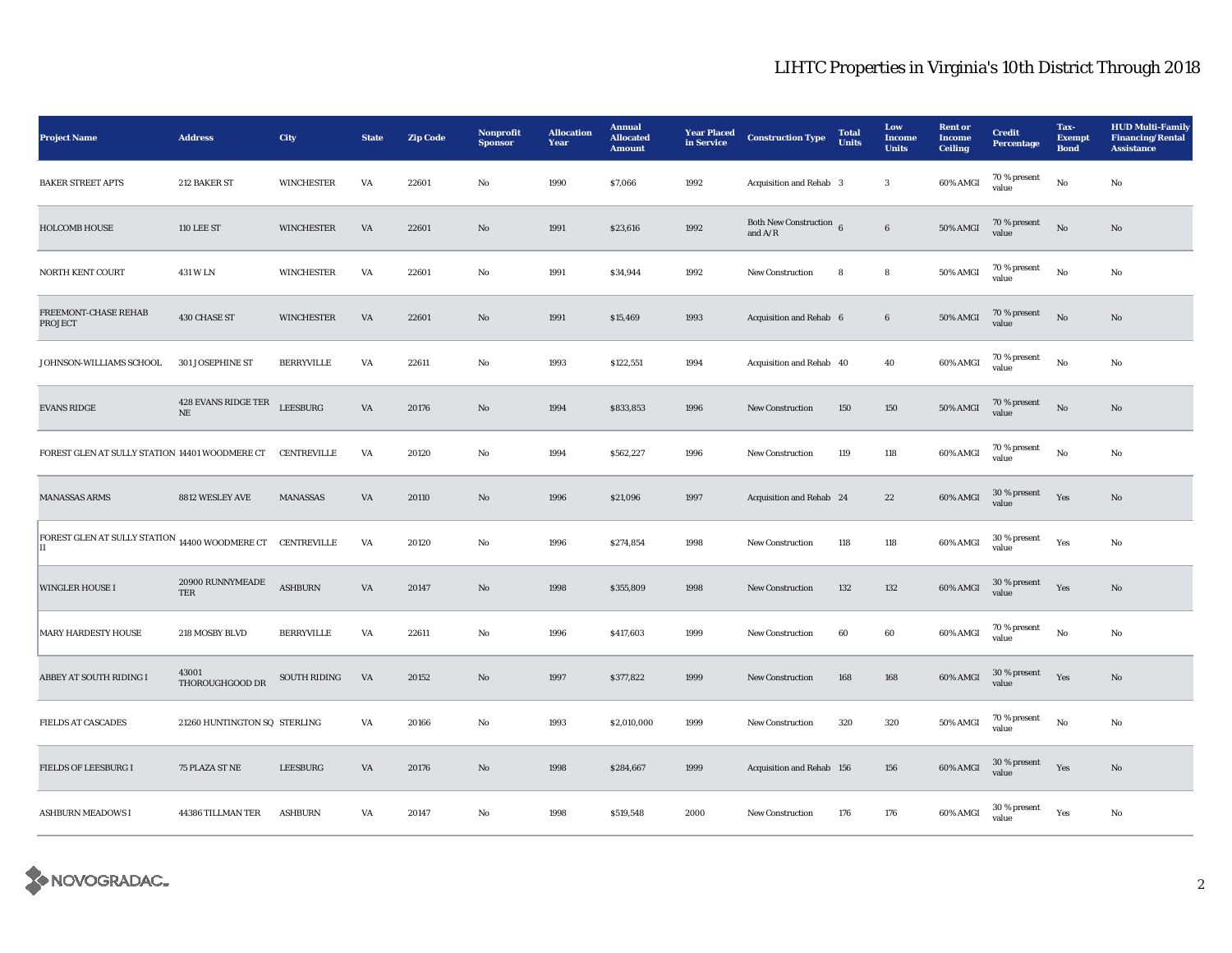## LIHTC Properties in Virginia's 10th District Through 2018

| <b>Project Name</b>                                                     | <b>Address</b>                          | City              | <b>State</b> | <b>Zip Code</b> | Nonprofit<br><b>Sponsor</b> | <b>Allocation</b><br>Year | <b>Annual</b><br><b>Allocated</b><br><b>Amount</b> | <b>Year Placed</b><br>in Service | <b>Construction Type</b>               | <b>Total</b><br>Units | Low<br><b>Income</b><br><b>Units</b> | <b>Rent or</b><br><b>Income</b><br><b>Ceiling</b> | <b>Credit</b><br><b>Percentage</b> | Tax-<br><b>Exempt</b><br><b>Bond</b> | <b>HUD Multi-Family</b><br><b>Financing/Rental</b><br><b>Assistance</b> |
|-------------------------------------------------------------------------|-----------------------------------------|-------------------|--------------|-----------------|-----------------------------|---------------------------|----------------------------------------------------|----------------------------------|----------------------------------------|-----------------------|--------------------------------------|---------------------------------------------------|------------------------------------|--------------------------------------|-------------------------------------------------------------------------|
| <b>BAKER STREET APTS</b>                                                | 212 BAKER ST                            | <b>WINCHESTER</b> | VA           | 22601           | No                          | 1990                      | \$7,066                                            | 1992                             | Acquisition and Rehab 3                |                       | $\mathbf{3}$                         | 60% AMGI                                          | 70 % present<br>value              | $\rm No$                             | No                                                                      |
| <b>HOLCOMB HOUSE</b>                                                    | <b>110 LEE ST</b>                       | <b>WINCHESTER</b> | VA           | 22601           | $\mathbf{N}\mathbf{o}$      | 1991                      | \$23,616                                           | 1992                             | Both New Construction $6$<br>and $A/R$ |                       | $6\phantom{.0}$                      | <b>50% AMGI</b>                                   | $70\,\%$ present<br>value          | $\mathbf{N}\mathbf{o}$               | No                                                                      |
| NORTH KENT COURT                                                        | 431 W LN                                | <b>WINCHESTER</b> | VA           | 22601           | No                          | 1991                      | \$34,944                                           | 1992                             | <b>New Construction</b>                | 8                     | 8                                    | 50% AMGI                                          | 70 % present<br>value              | $\rm No$                             | No                                                                      |
| FREEMONT-CHASE REHAB<br>PROJECT                                         | 430 CHASE ST                            | <b>WINCHESTER</b> | VA           | 22601           | $\rm \bf No$                | 1991                      | \$15,469                                           | 1993                             | Acquisition and Rehab 6                |                       | $6\phantom{.0}$                      | 50% AMGI                                          | 70 % present<br>value              | $\rm No$                             | No                                                                      |
| JOHNSON-WILLIAMS SCHOOL                                                 | 301 JOSEPHINE ST                        | <b>BERRYVILLE</b> | VA           | 22611           | No                          | 1993                      | \$122,551                                          | 1994                             | Acquisition and Rehab 40               |                       | 40                                   | 60% AMGI                                          | 70 % present<br>value              | $\rm No$                             | No                                                                      |
| <b>EVANS RIDGE</b>                                                      | <b>428 EVANS RIDGE TER</b><br>$\rm{NE}$ | <b>LEESBURG</b>   | VA           | 20176           | $\mathbf{No}$               | 1994                      | \$833,853                                          | 1996                             | New Construction                       | 150                   | 150                                  | 50% AMGI                                          | $70\,\%$ present<br>value          | No                                   | $\mathbf{N}\mathbf{o}$                                                  |
| FOREST GLEN AT SULLY STATION 14401 WOODMERE CT CENTREVILLE              |                                         |                   | VA           | 20120           | No                          | 1994                      | \$562,227                                          | 1996                             | <b>New Construction</b>                | 119                   | 118                                  | 60% AMGI                                          | 70 % present<br>value              | No                                   | No                                                                      |
| MANASSAS ARMS                                                           | 8812 WESLEY AVE                         | MANASSAS          | VA           | 20110           | $\rm\thinspace No$          | 1996                      | \$21,096                                           | 1997                             | Acquisition and Rehab 24               |                       | $\bf{22}$                            | $60\%$ AMGI                                       | 30 % present<br>value              | Yes                                  | $\mathbf{N}\mathbf{o}$                                                  |
| FOREST GLEN AT SULLY STATION $_{14400}$ woodmere $CT$ centreville<br>II |                                         |                   | VA           | 20120           | No                          | 1996                      | \$274,854                                          | 1998                             | New Construction                       | 118                   | 118                                  | 60% AMGI                                          | 30 % present<br>value              | Yes                                  | No                                                                      |
| <b>WINGLER HOUSE I</b>                                                  | 20900 RUNNYMEADE<br><b>TER</b>          | <b>ASHBURN</b>    | VA           | 20147           | No                          | 1998                      | \$355,809                                          | 1998                             | <b>New Construction</b>                | 132                   | 132                                  | 60% AMGI                                          | 30 % present<br>value              | Yes                                  | No                                                                      |
| <b>MARY HARDESTY HOUSE</b>                                              | 218 MOSBY BLVD                          | <b>BERRYVILLE</b> | VA           | 22611           | No                          | 1996                      | \$417,603                                          | 1999                             | <b>New Construction</b>                | 60                    | 60                                   | 60% AMGI                                          | 70 % present<br>value              | $\rm No$                             | No                                                                      |
| ABBEY AT SOUTH RIDING I                                                 | 43001<br>THOROUGHGOOD DR                | SOUTH RIDING      | VA           | 20152           | $\rm No$                    | 1997                      | \$377,822                                          | 1999                             | New Construction                       | 168                   | 168                                  | 60% AMGI                                          | 30 % present<br>value              | Yes                                  | $\mathbf{No}$                                                           |
| <b>FIELDS AT CASCADES</b>                                               | 21260 HUNTINGTON SQ STERLING            |                   | VA           | 20166           | No                          | 1993                      | \$2,010,000                                        | 1999                             | <b>New Construction</b>                | 320                   | 320                                  | 50% AMGI                                          | 70 % present<br>value              | $\rm No$                             | No                                                                      |
| <b>FIELDS OF LEESBURG I</b>                                             | 75 PLAZA ST NE                          | LEESBURG          | VA           | 20176           | $\mathbf{N}\mathbf{o}$      | 1998                      | \$284,667                                          | 1999                             | Acquisition and Rehab 156              |                       | 156                                  | 60% AMGI                                          | 30 % present<br>value              | Yes                                  | $\mathbf{N}\mathbf{o}$                                                  |
| <b>ASHBURN MEADOWS I</b>                                                | 44386 TILLMAN TER                       | <b>ASHBURN</b>    | VA           | 20147           | No                          | 1998                      | \$519,548                                          | 2000                             | <b>New Construction</b>                | 176                   | 176                                  | 60% AMGI                                          | 30 % present<br>value              | Yes                                  | No                                                                      |

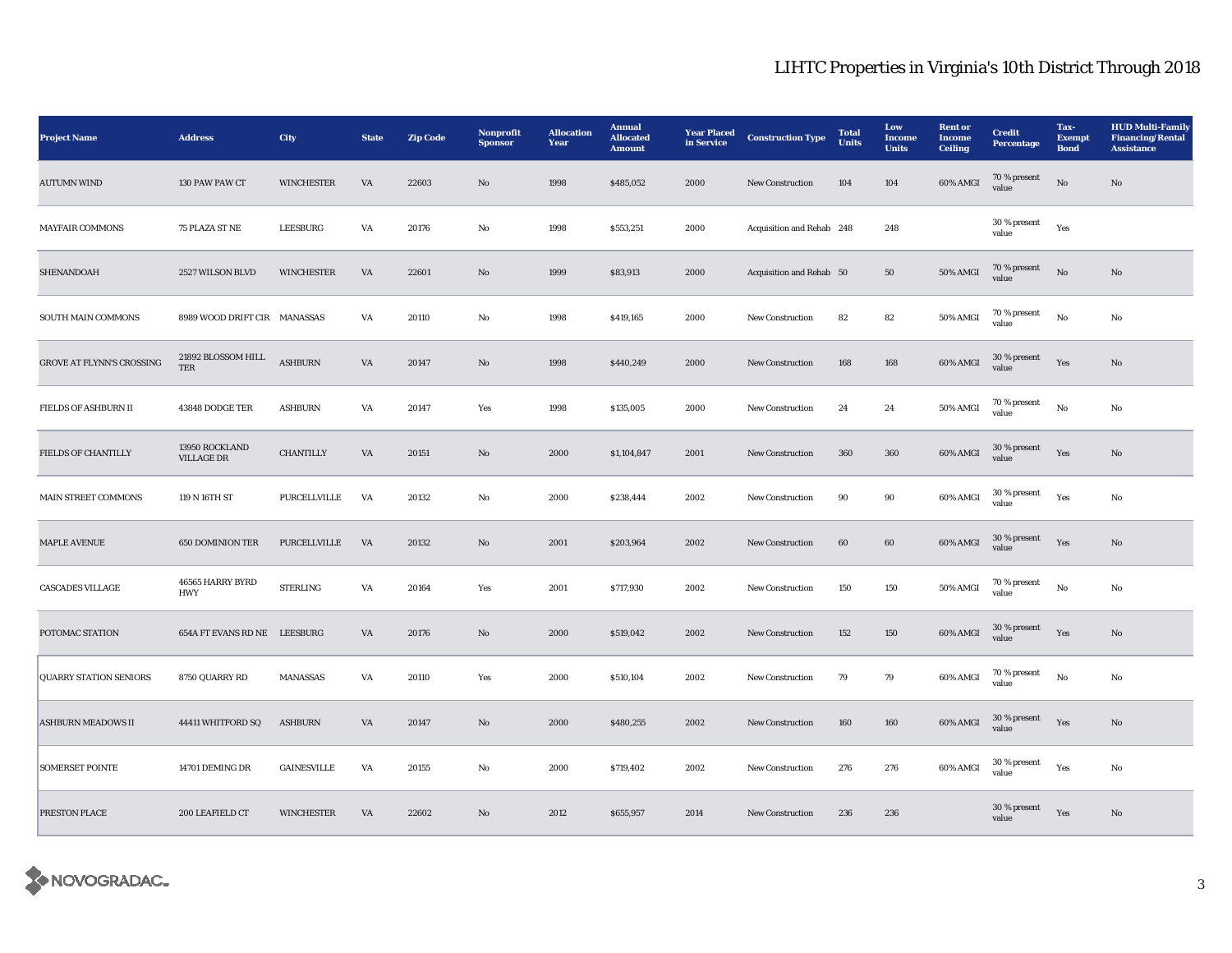## LIHTC Properties in Virginia's 10th District Through 2018

| <b>Project Name</b>              | <b>Address</b>                   | <b>City</b>        | <b>State</b> | <b>Zip Code</b> | Nonprofit<br><b>Sponsor</b> | <b>Allocation</b><br>Year | <b>Annual</b><br><b>Allocated</b><br><b>Amount</b> | <b>Year Placed</b><br>in Service | <b>Construction Type</b>  | <b>Total</b><br><b>Units</b> | Low<br>Income<br><b>Units</b> | <b>Rent</b> or<br><b>Income</b><br><b>Ceiling</b> | <b>Credit</b><br>Percentage | Tax-<br><b>Exempt</b><br><b>Bond</b> | <b>HUD Multi-Family</b><br><b>Financing/Rental</b><br><b>Assistance</b> |
|----------------------------------|----------------------------------|--------------------|--------------|-----------------|-----------------------------|---------------------------|----------------------------------------------------|----------------------------------|---------------------------|------------------------------|-------------------------------|---------------------------------------------------|-----------------------------|--------------------------------------|-------------------------------------------------------------------------|
| <b>AUTUMN WIND</b>               | 130 PAW PAW CT                   | <b>WINCHESTER</b>  | VA           | 22603           | No                          | 1998                      | \$485,052                                          | 2000                             | New Construction          | 104                          | 104                           | 60% AMGI                                          | 70 % present<br>value       | $\rm No$                             | No                                                                      |
| <b>MAYFAIR COMMONS</b>           | 75 PLAZA ST NE                   | <b>LEESBURG</b>    | VA           | 20176           | No                          | 1998                      | \$553,251                                          | 2000                             | Acquisition and Rehab 248 |                              | 248                           |                                                   | 30 % present<br>value       | Yes                                  |                                                                         |
| SHENANDOAH                       | 2527 WILSON BLVD                 | <b>WINCHESTER</b>  | VA           | 22601           | No                          | 1999                      | \$83,913                                           | 2000                             | Acquisition and Rehab 50  |                              | 50                            | 50% AMGI                                          | 70 % present<br>value       | No                                   | No                                                                      |
| SOUTH MAIN COMMONS               | 8989 WOOD DRIFT CIR MANASSAS     |                    | VA           | 20110           | No                          | 1998                      | \$419,165                                          | 2000                             | New Construction          | 82                           | 82                            | 50% AMGI                                          | 70 % present<br>value       | $_{\rm No}$                          | No                                                                      |
| <b>GROVE AT FLYNN'S CROSSING</b> | 21892 BLOSSOM HILL<br><b>TER</b> | <b>ASHBURN</b>     | VA           | 20147           | No                          | 1998                      | \$440,249                                          | 2000                             | <b>New Construction</b>   | 168                          | 168                           | 60% AMGI                                          | 30 % present<br>value       | Yes                                  | No                                                                      |
| FIELDS OF ASHBURN II             | 43848 DODGE TER                  | <b>ASHBURN</b>     | VA           | 20147           | Yes                         | 1998                      | \$135,005                                          | 2000                             | New Construction          | 24                           | 24                            | 50% AMGI                                          | $70\,\%$ present<br>value   | No                                   | No                                                                      |
| FIELDS OF CHANTILLY              | 13950 ROCKLAND<br>VILLAGE DR     | <b>CHANTILLY</b>   | VA           | 20151           | No                          | 2000                      | \$1,104,847                                        | 2001                             | <b>New Construction</b>   | 360                          | 360                           | 60% AMGI                                          | $30$ % present<br>value     | Yes                                  | No                                                                      |
| MAIN STREET COMMONS              | 119 N 16TH ST                    | PURCELLVILLE       | VA           | 20132           | No                          | 2000                      | \$238,444                                          | 2002                             | New Construction          | 90                           | 90                            | 60% AMGI                                          | 30 % present<br>value       | Yes                                  | $\rm No$                                                                |
| <b>MAPLE AVENUE</b>              | <b>650 DOMINION TER</b>          | PURCELLVILLE       | VA           | 20132           | No                          | 2001                      | \$203,964                                          | 2002                             | New Construction          | 60                           | 60                            | 60% AMGI                                          | 30 % present<br>value       | Yes                                  | $\mathbf{No}$                                                           |
| <b>CASCADES VILLAGE</b>          | 46565 HARRY BYRD<br><b>HWY</b>   | <b>STERLING</b>    | VA           | 20164           | Yes                         | 2001                      | \$717,930                                          | 2002                             | <b>New Construction</b>   | 150                          | 150                           | 50% AMGI                                          | $70$ % present<br>value     | No                                   | No                                                                      |
| POTOMAC STATION                  | 654A FT EVANS RD NE LEESBURG     |                    | VA           | 20176           | No                          | 2000                      | \$519,042                                          | 2002                             | <b>New Construction</b>   | 152                          | 150                           | 60% AMGI                                          | 30 % present<br>value       | Yes                                  | No                                                                      |
| <b>QUARRY STATION SENIORS</b>    | 8750 QUARRY RD                   | MANASSAS           | VA           | 20110           | Yes                         | 2000                      | \$510,104                                          | 2002                             | New Construction          | 79                           | 79                            | 60% AMGI                                          | 70 % present<br>value       | $_{\rm No}$                          | No                                                                      |
| <b>ASHBURN MEADOWS II</b>        | 44411 WHITFORD SQ                | <b>ASHBURN</b>     | VA           | 20147           | No                          | 2000                      | \$480,255                                          | 2002                             | New Construction          | 160                          | 160                           | 60% AMGI                                          | 30 % present<br>value       | Yes                                  | No                                                                      |
| <b>SOMERSET POINTE</b>           | 14701 DEMING DR                  | <b>GAINESVILLE</b> | VA           | 20155           | No                          | 2000                      | \$719,402                                          | 2002                             | New Construction          | 276                          | 276                           | 60% AMGI                                          | 30 % present<br>value       | Yes                                  | No                                                                      |
| PRESTON PLACE                    | 200 LEAFIELD CT                  | <b>WINCHESTER</b>  | VA           | 22602           | No                          | 2012                      | \$655,957                                          | 2014                             | <b>New Construction</b>   | 236                          | 236                           |                                                   | 30 % present<br>value       | Yes                                  | No                                                                      |